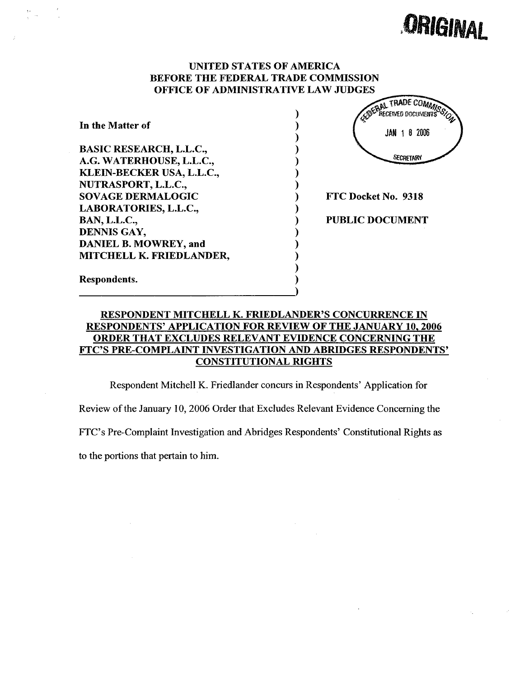# **ORIGINAL**

#### UNITED STATES OF AMERICA BEFORE THE FEDERAL TRADE COMMISSION OFFICE OF ADMINISTRATIVE LAW JUDGES

|                                | OFFICE OF ADMINISTRATIVE LAW JUDGES                                        |
|--------------------------------|----------------------------------------------------------------------------|
| In the Matter of               | <b>TRADE COA</b><br><sup>46</sup> SIO<br>ifcfivfr rrobbafn<br>JAN 1 8 2006 |
| <b>BASIC RESEARCH, L.L.C.,</b> |                                                                            |
| A.G. WATERHOUSE, L.L.C.,       | <b>SECRETARY</b>                                                           |
| KLEIN-BECKER USA, L.L.C.,      |                                                                            |
| <b>NUTRASPORT, L.L.C.,</b>     |                                                                            |
| <b>SOVAGE DERMALOGIC</b>       | FTC Docket No. 9318                                                        |
| <b>LABORATORIES, L.L.C.,</b>   |                                                                            |
| <b>BAN, L.L.C.,</b>            | <b>PUBLIC DOCUMENT</b>                                                     |
| DENNIS GAY,                    |                                                                            |
| <b>DANIEL B. MOWREY, and</b>   |                                                                            |
| MITCHELL K. FRIEDLANDER,       |                                                                            |
|                                |                                                                            |
| Respondents.                   |                                                                            |
|                                |                                                                            |

## RESPONDENT MITCHELL K. FRIEDLANDER'S CONCURRENCE IN RESPONDENTS' APPLICATION FOR REVIEW OF THE JANUARY 10.2006 ORDER THAT EXCLUDES RELEVANT EVIDENCE CONCERNING THE FTC'S PRE-COMPLAINT INVESTIGATION AND ABRIDGES RESPONDENTS' CONSTITUTIONAL RIGHTS

)

Respondent Mitchell K. Friedlander concurs in Respondents' Application for

Review of the January 10, 2006 Order that Excludes Relevant Evidence Concerning the

FTC's Pre-Complaint Investigation and Abridges Respondents' Constitutional Rights as

to the portions that pertain to him.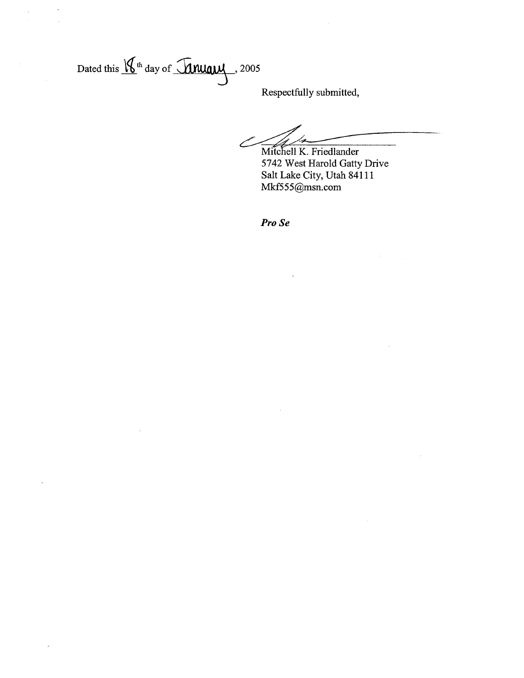Dated this  $\frac{1}{\sqrt{2}}$ <sup>th</sup> day of *Itrugus*, 2005

Respectfully submitted,

Mitchell K. Friedlander

5742 West Harold Gatty Drive Salt Lake City, Utah 84111 Mkf555@msn.com

Pro Se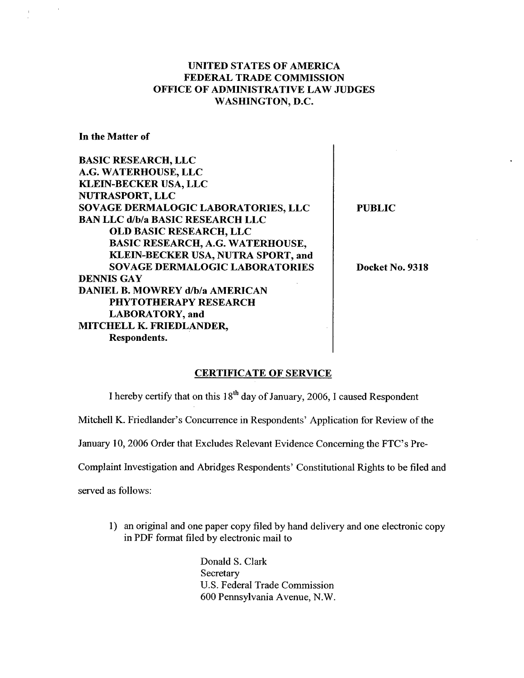## UNITED STATES OF AMERICA FEDERAL TRADE COMMISSION OFFICE OF ADMINISTRATIVE LAW JUDGES WASHINGTON, D.C.

In the Matter of

| <b>BASIC RESEARCH, LLC</b>              |
|-----------------------------------------|
| A.G. WATERHOUSE, LLC                    |
| <b>KLEIN-BECKER USA, LLC</b>            |
| NUTRASPORT, LLC                         |
| SOVAGE DERMALOGIC LABORATORIES, LLC     |
| <b>BAN LLC d/b/a BASIC RESEARCH LLC</b> |
| <b>OLD BASIC RESEARCH, LLC</b>          |
| <b>BASIC RESEARCH, A.G. WATERHOUSE,</b> |
| KLEIN-BECKER USA, NUTRA SPORT, and      |
| <b>SOVAGE DERMALOGIC LABORATORIES</b>   |
| <b>DENNIS GAY</b>                       |
| <b>DANIEL B. MOWREY d/b/a AMERICAN</b>  |
| <b>PHYTOTHERAPY RESEARCH</b>            |
| <b>LABORATORY</b> , and                 |
| MITCHELL K. FRIEDLANDER,                |
| <b>Respondents.</b>                     |

PUBLIC

Docket No. 9318

#### CERTIFICATE OF SERVICE

I hereby certify that on this  $18<sup>th</sup>$  day of January, 2006, I caused Respondent

Mitchell K. Friedlander's Concurrence in Respondents' Application for Review of the

January 10, 2006 Order that Excludes Relevant Evidence Concerning the FTC's Pre-

Complaint Investigation and Abridges Respondents' Constitutional Rights to be filed and

served as follows:

1) an original and one paper copy filed by hand delivery and one electronic copy in PDF format filed by electronic mail to

> Donald S. Clark Secretary U.S. Federal Trade Commission 600 Pennsylvania Avenue, N.W.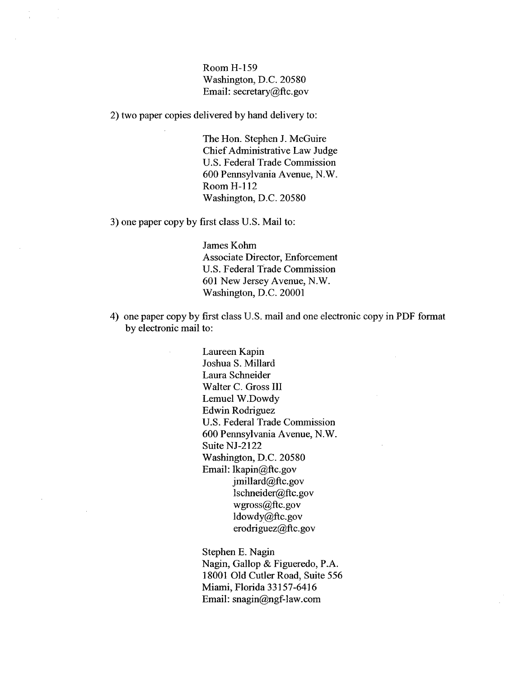Room H-159 Washington, D.C. 20580 Email: secretary $@$ ftc.gov

2) two paper copies delivered by hand delivery to:

The Hon. Stephen J. McGuire Chief Administrative Law Judge U.S. Federal Trade Commission 600 Pennsylvania Avenue, N.W. Room H-112 Washington, D.C. 20580

3) one paper copy by first class U.S. Mail to:

 $\sim$ 

James Kohm Associate Director, Enforcement U.S. Federal Trade Commission 601 New Jersey Avenue, N.W. Washington, D.C. 20001

4) one paper copy by first class U.S. mail and one electronic copy in PDF format by electronic mail to:

> Laureen Kapin Joshua S. Millard Laura Schneider Walter C. Gross III Lemuel W.Dowdy Edwin Rodriguez U.S. Federal Trade Commission 600 Pennsylvania Avenue, N.W. Suite NJ-2122 Washington, D.C. 20580 Email: lkapin@ftc.gov jmillard@ftc.gov lschneider@ftc.gov wgross@ftc.gov ldowdy@ftc.gov erodriguez@ftc.gov

Stephen E. Nagin Nagin, Gallop & Figueredo, P.A. 18001 Old Cutler Road, Suite 556 Miami, Florida 33157-6416 Email: snagin@ngf-law.com